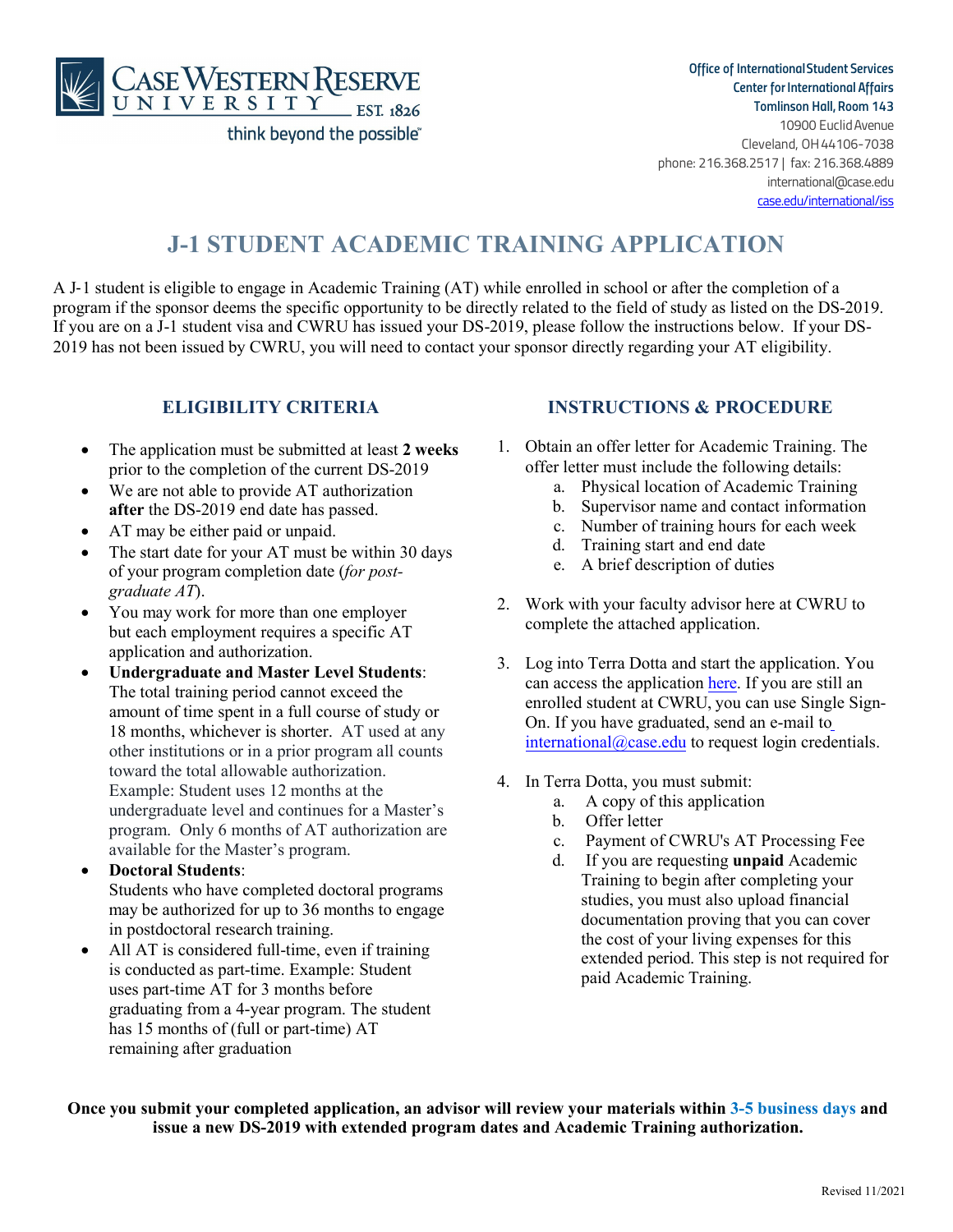

*Office of InternationalStudent Services Center for International Affairs Tomlinson Hall, Room 143* 

10900 EuclidAvenue Cleveland, OH44106-7038 phone: 216.368.2517 | fax: 216.368.4889 [international@case.edu](mailto:international@case.edu) case.edu/international/iss

## **J-1 STUDENT ACADEMIC TRAINING APPLICATION**

A J-1 student is eligible to engage in Academic Training (AT) while enrolled in school or after the completion of a program if the sponsor deems the specific opportunity to be directly related to the field of study as listed on the DS-2019. If you are on a J-1 student visa and CWRU has issued your DS-2019, please follow the instructions below. If your DS-2019 has not been issued by CWRU, you will need to contact your sponsor directly regarding your AT eligibility.

#### **ELIGIBILITY CRITERIA**

- The application must be submitted at least **2 weeks** prior to the completion of the current DS-2019
- We are not able to provide AT authorization **after** the DS-2019 end date has passed.
- AT may be either paid or unpaid.
- The start date for your AT must be within 30 days of your program completion date (*for postgraduate AT*).
- You may work for more than one employer but each employment requires a specific AT application and authorization.
- **Undergraduate and Master Level Students**: The total training period cannot exceed the amount of time spent in a full course of study or 18 months, whichever is shorter. AT used at any other institutions or in a prior program all counts toward the total allowable authorization. Example: Student uses 12 months at the undergraduate level and continues for a Master's program. Only 6 months of AT authorization are available for the Master's program.
- **Doctoral Students**: Students who have completed doctoral programs may be authorized for up to 36 months to engage in postdoctoral research training.
- All AT is considered full-time, even if training is conducted as part-time. Example: Student uses part-time AT for 3 months before graduating from a 4-year program. The student has 15 months of (full or part-time) AT remaining after graduation

#### **INSTRUCTIONS & PROCEDURE**

- 1. Obtain an offer letter for Academic Training. The offer letter must include the following details:
	- a. Physical location of Academic Training
	- b. Supervisor name and contact information
	- c. Number of training hours for each week
	- d. Training start and end date
	- e. A brief description of duties
- 2. Work with your faculty advisor here at CWRU to complete the attached application.
- 3. Log into Terra Dotta and start the application. You can access the application [here. If](https://visas.case.edu/index.cfm?FuseAction=Programs.ViewProgram&Program_ID=10033) you are still an enrolled student at CWRU, you can use Single Sign-On. If you have graduated, send an e-mail t[o](mailto:international@case.edu)  $interrational@case.edu$  to request login credentials.
- 4. In Terra Dotta, you must submit:
	- a. A copy of this application
	- b. Offer letter
	- c. Payment of CWRU's AT Processing Fee
	- d. If you are requesting **unpaid** Academic Training to begin after completing your studies, you must also upload financial documentation proving that you can cover the cost of your living expenses for this extended period. This step is not required for paid Academic Training.

**Once you submit your completed application, an advisor will review your materials within 3-5 business days and issue a new DS-2019 with extended program dates and Academic Training authorization.**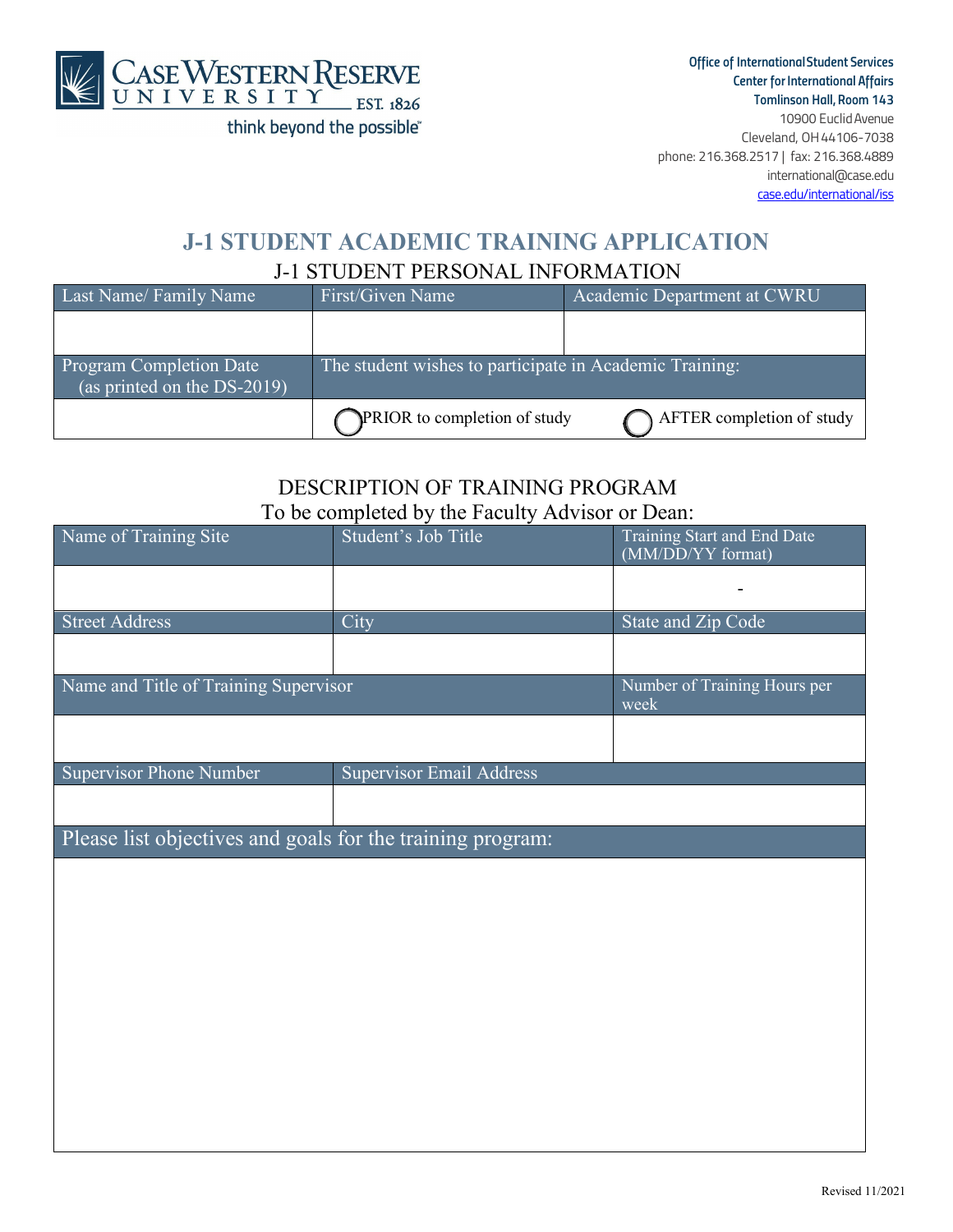

*Office of InternationalStudent Services Center forInternational Affairs Tomlinson Hall, Room 143*  10900 EuclidAvenue Cleveland, OH44106-7038 phone: 216.368.2517 | fax: 216.368.4889 [international@case.edu](mailto:international@case.edu)

case.edu/international/iss

## **J-1 STUDENT ACADEMIC TRAINING APPLICATION** J-1 STUDENT PERSONAL INFORMATION

| Last Name/Family Name                                                    | First/Given Name                                        | Academic Department at CWRU |
|--------------------------------------------------------------------------|---------------------------------------------------------|-----------------------------|
|                                                                          |                                                         |                             |
| <b>Program Completion Date</b><br>$\sqrt{a}$ (as printed on the DS-2019) | The student wishes to participate in Academic Training: |                             |
|                                                                          | PRIOR to completion of study                            | AFTER completion of study   |

### DESCRIPTION OF TRAINING PROGRAM To be completed by the Faculty Advisor or Dean:

| Name of Training Site                                      | Student's Job Title             | Training Start and End Date<br>(MM/DD/YY format) |  |  |
|------------------------------------------------------------|---------------------------------|--------------------------------------------------|--|--|
|                                                            |                                 |                                                  |  |  |
|                                                            |                                 |                                                  |  |  |
| <b>Street Address</b>                                      | City                            | <b>State and Zip Code</b>                        |  |  |
|                                                            |                                 |                                                  |  |  |
| Name and Title of Training Supervisor                      |                                 | Number of Training Hours per<br>week             |  |  |
|                                                            |                                 |                                                  |  |  |
| <b>Supervisor Phone Number</b>                             | <b>Supervisor Email Address</b> |                                                  |  |  |
|                                                            |                                 |                                                  |  |  |
| Please list objectives and goals for the training program: |                                 |                                                  |  |  |
|                                                            |                                 |                                                  |  |  |
|                                                            |                                 |                                                  |  |  |
|                                                            |                                 |                                                  |  |  |
|                                                            |                                 |                                                  |  |  |
|                                                            |                                 |                                                  |  |  |
|                                                            |                                 |                                                  |  |  |
|                                                            |                                 |                                                  |  |  |
|                                                            |                                 |                                                  |  |  |
|                                                            |                                 |                                                  |  |  |
|                                                            |                                 |                                                  |  |  |